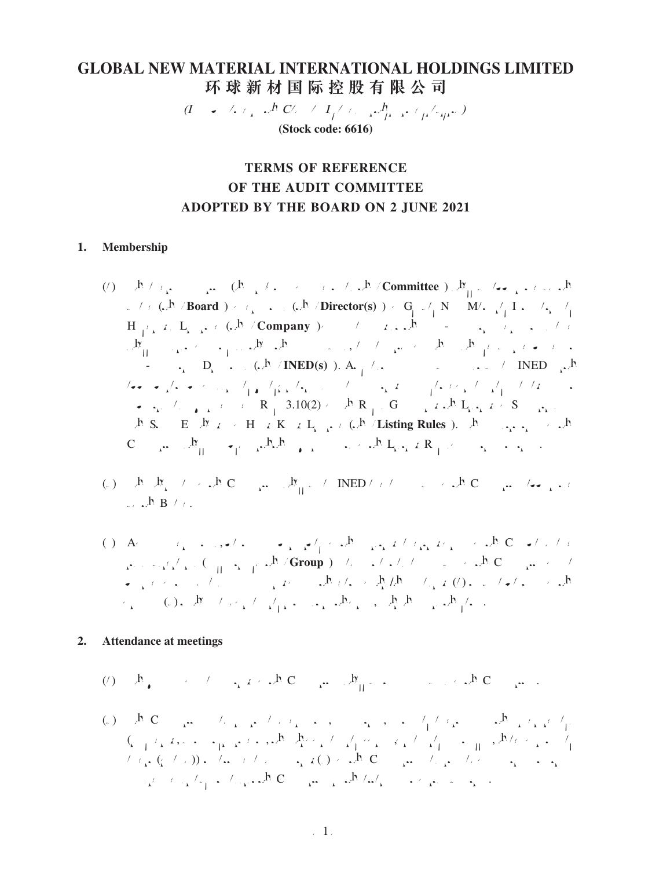## **GLOBAL NEW MATERIAL INTERNATIONAL HOLDINGS LIMITED 環球新材國際控股有限公司**

(Incorporated in the Cayman Islands with limit  $\int_{\mathcal{V}}$  in the limit limit of  $\int_{\mathcal{V}}$ **(Stock code: 6616)**

# **TERMS OF REFERENCE OF THE AUDIT COMMITTEE ADOPTED BY THE BOARD ON 2 JUNE 2021**

### **1. Membership**

- (b)  $\mathbb{R}^n$  the audit committee  $\mathbb{R}^n$  referred to as the  $\mathbb{R}^n$  shall be approximated by the  $\mathbb{R}^n$  $b \mapsto f \in (A \setminus \text{Board })$  of director(s)  $b \in G_{\text{a}} \cup \text{a} \setminus \text{No} \cup \text{No} \cup \text{No} \cup \text{No} \cup \text{No} \cup \text{No} \cup \text{No} \cup \text{No} \cup \text{No} \cup \text{No} \cup \text{No} \cup \text{No} \cup \text{No} \cup \text{No} \cup \text{No} \cup \text{No} \cup \text{No} \cup \text{No} \cup \text{No} \cup \text{No} \cup \text{No} \cup \text{No} \cup \text{No} \cup \text{No$ H<sub>old</sub>ings L<sub>imited</sub> (the "**Company** ) from a non-executive directors and the non-executive directors and the non-executive directors and the non-executive directors and the non-executive directors and the non-executive d shows that the members than the members of  $\lambda$  majority of whom should be independent be independent be independent of whom shows  $\lambda$ non-executive Directors (the "**INED(s)** ). At least one member one member with  $\mathbb{R}$  in INED with  $\alpha$  and  $\alpha$  and  $\alpha$  related final  $\alpha$  related final management or  $\alpha$  related final management final management of  $\alpha$ experiment as regular Rules 3.10(2) of The Rules Government the Listing of Securities on  $\mathbb{R}$ The Stock Equation Home  $\mu$  Kong L<sub>imited</sub> (the "**Listing Rules** ). The construction of the the the the the theory of the theory of the theory of the theory of the theory of the theory of the theory of the theory of the  $C = \frac{1}{2} m \left[ \frac{1}{2} \frac{1}{2} \frac{1}{2} \frac{1}{2} \frac{1}{2} \frac{1}{2} \frac{1}{2} \frac{1}{2} \frac{1}{2} \frac{1}{2} \frac{1}{2} \frac{1}{2} \frac{1}{2} \frac{1}{2} \frac{1}{2} \frac{1}{2} \frac{1}{2} \frac{1}{2} \frac{1}{2} \frac{1}{2} \frac{1}{2} \frac{1}{2} \frac{1}{2} \frac{1}{2} \frac{1}{2} \frac{1}{2} \frac{1}{2} \frac{1}{2} \frac{1}{2} \frac{1$
- (c) The chairman of the committee shall be an INED and a member of the Committee appointed and a member of the Committee approximate  $\mathbb{R}$  $h \cdot B / t$ .
- (e) A former directors  $\mathbb{E}_{\mathbf{A}}$  or principal or principal of the existing auditing firm of the Company and  $i_1$  subsidiaries (collectively the "**Group**") may not act as a member of the  $\frac{1}{2}$ period of two years commencing from the date of  $h/d$  the date of  $h/d$  the date of the partner of the partner of the partner of the date of the partner of the date of the partner of the date of the partner of the date of t firm or  $\mathcal{N}$  to have any financial interest interest in the first interest in the first interest in the later.

## **2. Attendance at meetings**

$$
(\textbf{a}) \quad \textbf{b} \quad \textbf{b} \quad \textbf{c} \quad \textbf{c} \quad \textbf{d} \quad \textbf{c} \quad \textbf{d} \quad \textbf{c} \quad \textbf{d} \quad \textbf{d} \quad \textbf{c} \quad \textbf{d} \quad \textbf{d} \quad \textbf{d} \quad \textbf{d} \quad \textbf{d} \quad \textbf{d} \quad \textbf{d} \quad \textbf{d} \quad \textbf{d} \quad \textbf{d} \quad \textbf{d} \quad \textbf{d} \quad \textbf{d} \quad \textbf{d} \quad \textbf{d} \quad \textbf{d} \quad \textbf{d} \quad \textbf{d} \quad \textbf{d} \quad \textbf{d} \quad \textbf{d} \quad \textbf{d} \quad \textbf{d} \quad \textbf{d} \quad \textbf{d} \quad \textbf{d} \quad \textbf{d} \quad \textbf{d} \quad \textbf{d} \quad \textbf{d} \quad \textbf{d} \quad \textbf{d} \quad \textbf{d} \quad \textbf{d} \quad \textbf{d} \quad \textbf{d} \quad \textbf{d} \quad \textbf{d} \quad \textbf{d} \quad \textbf{d} \quad \textbf{d} \quad \textbf{d} \quad \textbf{d} \quad \textbf{d} \quad \textbf{d} \quad \textbf{d} \quad \textbf{d} \quad \textbf{d} \quad \textbf{d} \quad \textbf{d} \quad \textbf{d} \quad \textbf{d} \quad \textbf{d} \quad \textbf{d} \quad \textbf{d} \quad \textbf{d} \quad \textbf{d} \quad \textbf{d} \quad \textbf{d} \quad \textbf{d} \quad \textbf{d} \quad \textbf{d} \quad \textbf{d} \quad \textbf{d} \quad \textbf{d} \quad \textbf{d} \quad \textbf{d} \quad \textbf{d} \quad \textbf{d} \quad \textbf{d} \quad \textbf{d} \quad \textbf{d} \quad \textbf{d} \quad \textbf{d} \quad \textbf{d} \quad \textbf{d} \quad \textbf{d} \quad \textbf{d} \quad \textbf{d} \quad \textbf{d} \quad \textbf{d} \quad \textbf{d} \quad \textbf{d} \
$$

(b) The Committee may invite any director, executive, external auditor or other individuals (including, but not limited to, the chief financial officer, financial controller, head of internal audit (if any)) to attend any meeting(s) of the Committee as it may from time to time consider desirable to assist the Committee in the attainment of its objective.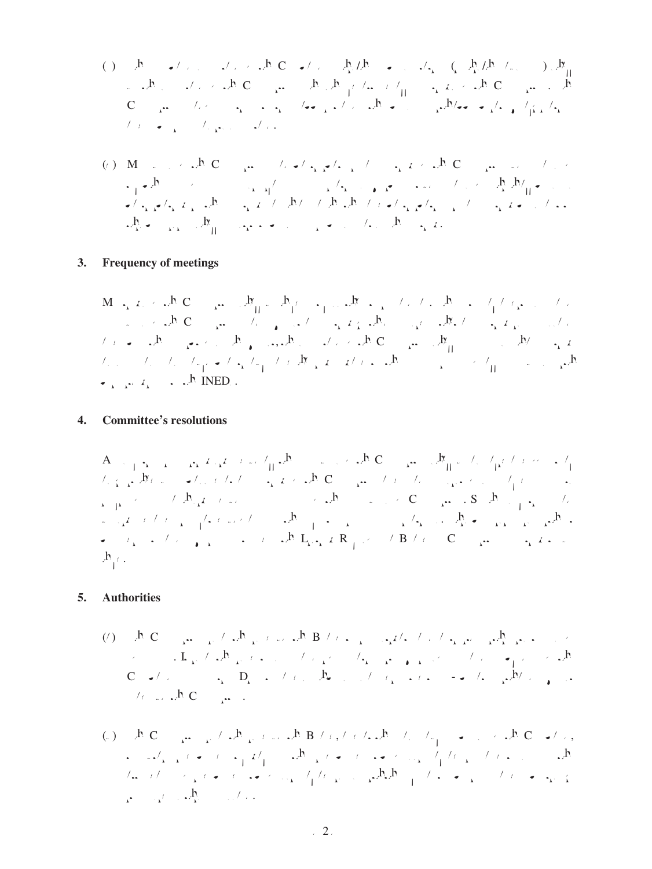(c) The company secretary of the Company or his/her representative (in his/her absence) shall be the secretary of the Committee who should attend all meetings of the Committee. The Committee may from time to time appoint any other person with appropriate qualification and experience as its secretary.

(d) Members of the Committee may participate in a meeting of the Committee by means of telephone conference or similar communications equipment by means of which all persons participating in the meeting can hear each other and participation in a meeting pursuant to this provision shall constitute presence in person at such meeting.

#### **3. Frequency of meetings**

$$
M_{\frac{1}{2},1} \times \frac{1}{2^n} C_{\frac{1}{2},1} \times \frac{1}{2^n} C_{\frac{1}{2},1} \times \frac{1}{2^n} \times \frac{1}{2^n} \times \frac{1}{2^n} \times \frac{1}{2^n} \times \frac{1}{2^n} \times \frac{1}{2^n} \times \frac{1}{2^n} \times \frac{1}{2^n} \times \frac{1}{2^n} \times \frac{1}{2^n} \times \frac{1}{2^n} \times \frac{1}{2^n} \times \frac{1}{2^n} \times \frac{1}{2^n} \times \frac{1}{2^n} \times \frac{1}{2^n} \times \frac{1}{2^n} \times \frac{1}{2^n} \times \frac{1}{2^n} \times \frac{1}{2^n} \times \frac{1}{2^n} \times \frac{1}{2^n} \times \frac{1}{2^n} \times \frac{1}{2^n} \times \frac{1}{2^n} \times \frac{1}{2^n} \times \frac{1}{2^n} \times \frac{1}{2^n} \times \frac{1}{2^n} \times \frac{1}{2^n} \times \frac{1}{2^n} \times \frac{1}{2^n} \times \frac{1}{2^n} \times \frac{1}{2^n} \times \frac{1}{2^n} \times \frac{1}{2^n} \times \frac{1}{2^n} \times \frac{1}{2^n} \times \frac{1}{2^n} \times \frac{1}{2^n} \times \frac{1}{2^n} \times \frac{1}{2^n} \times \frac{1}{2^n} \times \frac{1}{2^n} \times \frac{1}{2^n} \times \frac{1}{2^n} \times \frac{1}{2^n} \times \frac{1}{2^n} \times \frac{1}{2^n} \times \frac{1}{2^n} \times \frac{1}{2^n} \times \frac{1}{2^n} \times \frac{1}{2^n} \times \frac{1}{2^n} \times \frac{1}{2^n} \times \frac{1}{2^n} \times \frac{1}{2^n} \times \frac{1}{2^n} \times \frac{1}{2^n} \times \frac{1}{2^n} \times \frac{1}{2^n} \times \frac{1}{2^n} \times \frac{1}{2^n} \times \frac{1}{2^n} \times \frac{1}{2^n} \times \frac{1}{2^n} \times \frac{1}{2^n} \times \frac{1}{2^n} \times \frac{1}{2^n} \times \frac{1}{2^n} \times \frac{1
$$

## **4. Committee's resolutions**

A resolution in writing signed by all the members of the Committee shall be as valid and effectual as if it had been passed at a meeting of the Committee and may consist of several documents in like form each signed by one or more of the members of Committee. Such resolution may be signed and circulated by fax or other electronic communications. This provision is without prejudice to any requirement under the Listing Rules for a Board or Committee meeting to be held.

## **5. Authorities**

- (b) The Committee is authorised by the Board to investigate and activity with its terms of terms of terms of terms of terms of terms of terms of terms of terms of terms of terms of terms of terms of terms of terms of term reference. It is attached to see the seek and information information it requires  $f(x) = \frac{1}{2\pi} \int_{0}^{1} \frac{dx}{\sqrt{x}}$  $C \rightarrow C \rightarrow C$  executive Director and such persons are directed to co-operate with any requested to co-operate with any requested to co-operate with any requested to co-operate with  $D$  $\mu$   $\mu$   $\hbar$  C<sub>om</sub>.
- (c) The  $C = \frac{1}{\sqrt{2\pi}} \int_{-\infty}^{\infty} \int_{-\infty}^{\infty} \int_{-\infty}^{\infty} \int_{-\infty}^{\infty} \int_{-\infty}^{\infty} \int_{-\infty}^{\infty} \int_{-\infty}^{\infty} \int_{-\infty}^{\infty} \int_{-\infty}^{\infty} \int_{-\infty}^{\infty} \int_{-\infty}^{\infty} \int_{-\infty}^{\infty} \int_{-\infty}^{\infty} \int_{-\infty}^{\infty} \int_{-\infty}^{\infty} \int_{-\infty}^{\infty} \int_{-\infty$ to obtain independent legal or other independent professional advice and to secure the secure the secure the secure the secure that the secure that is a secure that is a secure that is a secure that is a secure that is a attendance of independent professional advisers with the relevant experience and experience and experience and experience and experience and experience and experience and experience and experience and experience and exper  $\mathbf{r} = \mathbf{r}$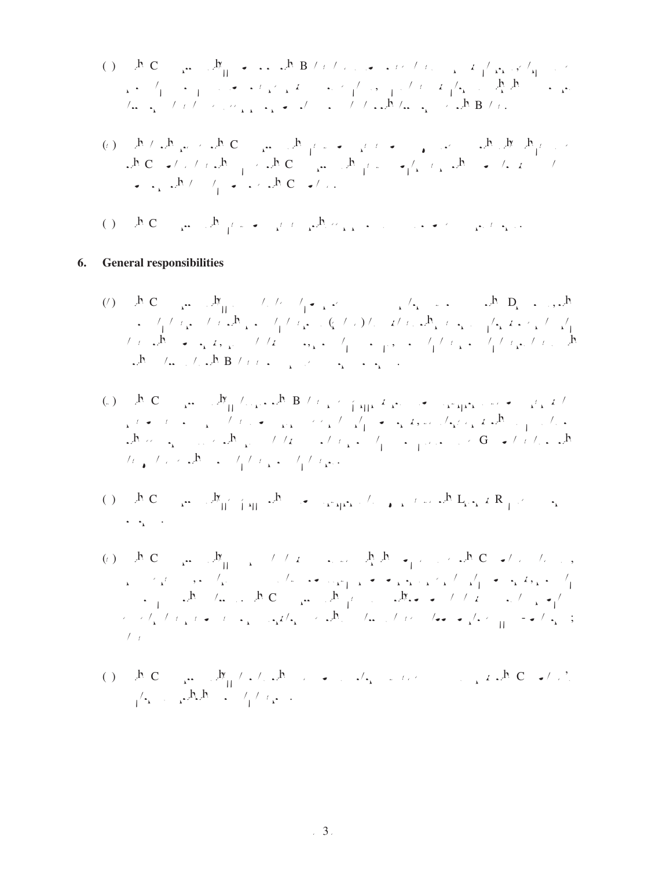(c) The Committee shall report to the Board any suspected frauds or irregularities, failures of internal control or suspected infringements of laws, rules and regulations which come to its attention and are of sufficient importance to warrant the attention of the Board.

(d) The authority of the Committee should be provided upon request from the shareholders of the Company and the role of the Committee should be explained in the corporate governance report in the annual report of the Company.

(e) The  $C = \frac{1}{2} \int_{0}^{1} \int_{0}^{1} \int_{0}^{1} \int_{0}^{1} \int_{0}^{1} \int_{0}^{1} \int_{0}^{1} \int_{0}^{1} \int_{0}^{1} \int_{0}^{1} \int_{0}^{1} \int_{0}^{1} \int_{0}^{1} \int_{0}^{1} \int_{0}^{1} \int_{0}^{1} \int_{0}^{1} \int_{0}^{1} \int_{0}^{1} \int_{0}^{1} \int_{0}^{1} \int_{0}^{1} \int_{0}^{1} \int_{0}^{1} \int_{0}^{1} \int_{$ 

### **6. General responsibilities**

- (b) The Committee shall server as a formulation between other point for communication between  $\mathbb{R}$ external auditor and the internal and the internal auditors (if  $\mathcal{A}_1$  and  $\mathcal{A}_2$  are garden to financial to financial auditors (if  $\mathcal{A}_1$ and other represents internal controls, internal controls,  $\lambda$  $\mathbb{R}^{\mathbf{h}}$  matters as the Board determines from time to time to time to time to time to time to time to time
- (c) The Committee shall assist the Board in fulfilling its responsibilities by providing and  $h$ independent review and supervision of financial reporting, by satisfying themselves as to be as to be as to be the effectiveness of the risk management and internal control systems of Group and as to the systems of Group and as to the control system of Group and as to the control system of Group and as to the control system of Gro  $\mathcal{A}_{\ell+1}=\mathcal{A}_{\ell+1}=\mathcal{A}_{\ell}=\mathcal{A}_{\ell+1}=\mathcal{A}_{\ell+1}=\mathcal{A}_{\ell+1}=\mathcal{A}_{\ell+1}=\mathcal{A}_{\ell+1}=\mathcal{A}_{\ell+1}=\mathcal{A}_{\ell+1}=\mathcal{A}_{\ell+1}=\mathcal{A}_{\ell+1}=\mathcal{A}_{\ell+1}=\mathcal{A}_{\ell+1}=\mathcal{A}_{\ell+1}=\mathcal{A}_{\ell+1}=\mathcal{A}_{\ell+1}=\mathcal{A}_{\ell+1}=\mathcal{A}_{\ell+1}=\mathcal{A}_{\ell+1}=\math$
- (e) The Committee shall fulfill other responsibilities as required by the Listing Rules from times  $h$  $\mathbf{t} \cdot \mathbf{t}$
- (d) The  $C = \sum_{i=1}^n \frac{1}{n} \int \frac{dx}{dx} dx$  is exploited at the Company may use of the Company may use of the Company may use, in confidence, to raise concerns about possible in financial reporting, in financial reporting, internal report control or other matters. The Committee showld ensure that proper arrangements are in place in place in place in place  $\mathcal{F}$ for fair and independent independent investigation of the following and for appropriate for appropriate for appropriate for appropriate for appropriate for appropriate for  $f(x)$  $\frac{1}{2}$
- (e)  $\mathbb{E} \left[ C_{\text{max}} \right]$   $\mathbb{E} \left[ \left[ \left( \mathbf{r} \right] \right] \right]$  and  $\mathbb{E} \left[ \left( \mathbf{r} \right] \right]$  overseeing the Company's  $r_{\rm th}$  and  $r_{\rm th}$  the external auditor.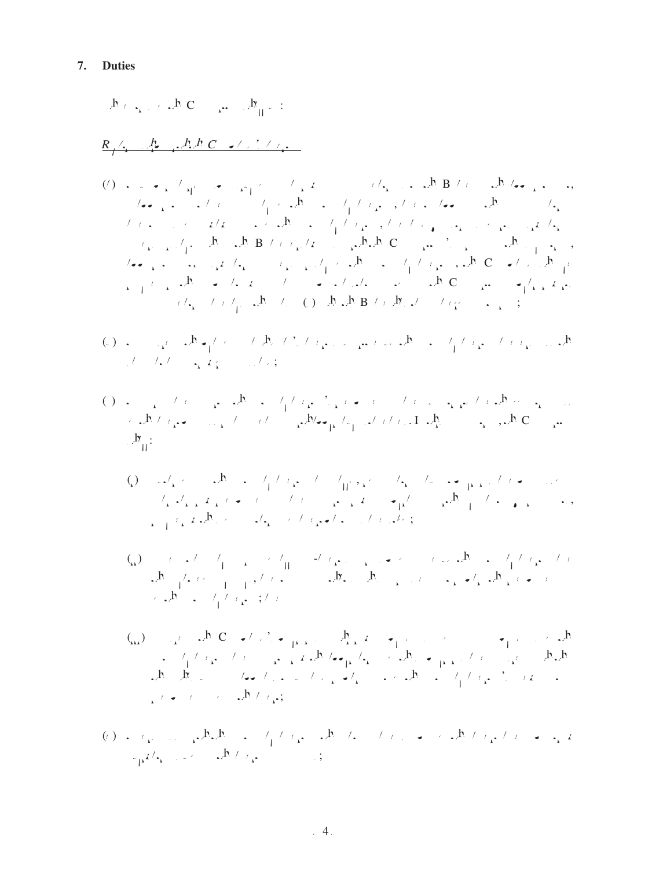#### **7. Duties**

 $\mathbb{E}[h_{\ell_1},\ldots,h_{\ell_n}]$  of the duties of the  $\mathbb{E}[h_{\ell_1},\ldots,h_{\ell_n}]$  $R_{\alpha}$  to the Company's  $R_{\alpha}$ 

- (1) to be primarily recommendations to the making recommendations to the approximations to the approximation on the approximation on the approximation of the approximation on the approximation of the approximation on the reappoint and removal of the external and to approximate the removal and to approximate the remuneration of the remuneration of the remuneration of the remuneration of the remuneration of the remuneration of the remunerat and terms of  $\mathbf{z}/\mathbf{z}$  and any  $\mathbf{z}$  respectively. Any  $\mathbf{z}/\mathbf{z}$  respectively in  $\mathbf{z}/\mathbf{z}$  $\alpha_{\text{tot}}$  discrete the Board disagrees with the selection on the selection,  $\alpha_{\text{tot}}$  $a_n = \frac{1}{n}$  and  $a_n = \frac{1}{n}$  or dispersion or dispersion of the external auditor, the  $\frac{1}{n}$  $i,j \in \mathbb{R}$  in the corporate governance report and the Committee explaining its statement from the Committee explaining its statement of  $\mathbb{R}$ recommendation and also the reason  $\mathbf{h}$  which  $\mathbf{B}$  are taken as taken a different view;
- (b) to consider the plan for each year  $f(x, t)$  of the external auditor and discuss the external auditor and discuss the external auditor and discuss the external auditor and discuss the external auditor and discuss the ex same at a method is  $\mathcal{L}_1$  and  $\mathcal{L}_2$  if necessary;
- (c) to review and monitor the external auditoris independence and objectivity and objectivity and the effectiveness of the audit process in a cordinate with a process in the connection, the committee  $\frac{1}{\sqrt{2}}$  $\mathbf{y}_{\mathrm{H}}$ :
	- (i) obtain  $\mathbb{R}^n$  obtain from the external auditor and process formation about policies and process for process for  $\mathbb{R}^n$  $\mathbb{E}[\mathcal{A}_\mathbf{a}, \mathcal{A}_\mathbf{a}, \mathbf{a}]$  independence and monitoring compliance with relevant requirements, with relevant requirements,  $\mathcal{A}_\mathbf{a}$  $i,j,k,k,s' \in \mathcal{N}_1$  rotation of audit partners and station of audit partners and station of audit partners and staff
	- (ii) conduct and  $\ell$  review of all non-auditor annual auditor  $\ell$  and  $\ell$  and  $\ell$  $t_{\rm b}$  related fee levels, and to ensure the independence that such such services do not impair the independence of  $t_{\rm b}$  $\lambda$  of the external auditor; and  $\lambda$
	- (iii) consider the Company's policies on  $\mathcal{P}_{\mathcal{A}}(X, \bullet)$  is the former employees of the former employees of the former employees of the former employees of the former employees of the former employees of the former e external auditor and monitoring the application of the application of the application of the application of the application of the application of the consider whether when  $\mathcal{L}_{\text{max}}$  $t_{\rm th}$  there has been or appears to be any impairment of the external auditoris judgment or  $t_{\rm th}$  $\label{eq:3.1} \sum_{\mathbf{k}}\left(t\left(\bullet\right)-t\right)=\left(\left(\bullet\right)^{-1}\mathbf{h}\right)\left(t\right)\mathbf{e}_{\mathbf{k}}\mathbf{i};$
- (d) to discuss with the external auditor the external audit audit and scope of the audit and reporting  $\mathcal{A}$  $\mathbb{E}_{\mu}$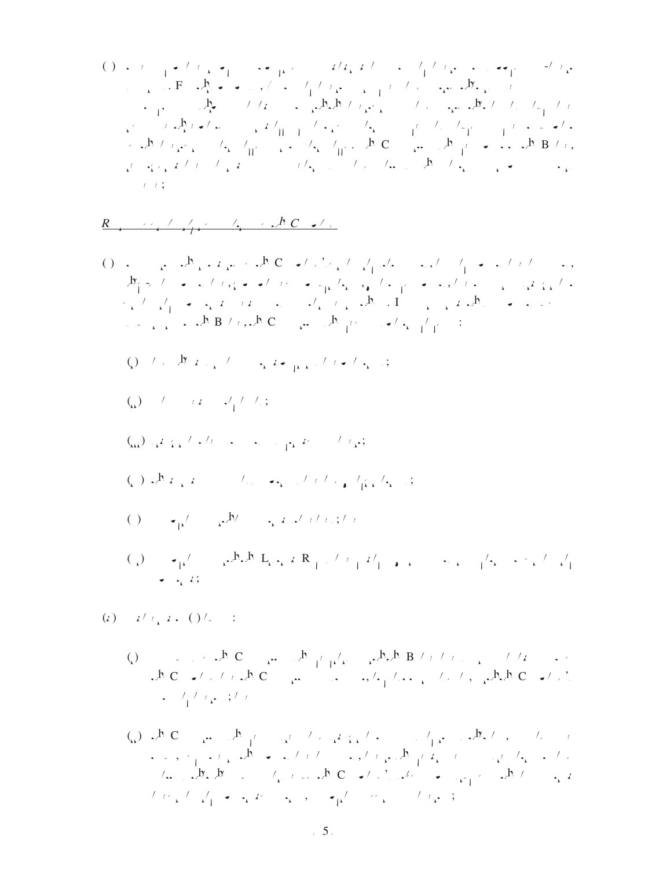(e) to develop and implement policy on engaging and implement policy on engaging and implement  $I/I$  $s_{\rm max}$  is  $\mathbf{F}$  that  $\mathbf{F}$  is  $\mathbf{F}$  is under computation in all  $\mathbf{F}$  is under common include any entity that is under common include any entity that is under common include  $\mathbf{F}$ control, only any  $\mathcal{L}(X)$  are any entity that any entity that any entity that a reasonable and  $\mathcal{L}(X)$ informed third party conclude the party conclude to be particular information would reasonably conclude to be p of the audit firm nationally or internationally or  $\mathbb{R}$  or  $\mathbb{R}$  or  $\mathbb{R}$  internationally  $\mathbb{R}$  is the Board, identify and making and making recommendations on any matters where action or improvement is a comparison of in neede $t$ 

## $R$  in the financial information of the Company of the Company of the Company of the Company of the Company of the Company of the Company of the Company of the Company of the Company of the Company of the Company of the C

(j) to monitor the integrity of the integrity of the company's financial statements, and accounts and accounts, and accounts, and accounts, and accounts, and accounts, and accounts, and accounts, and accounts, and account  $h_{\rm p}$  report for and, if  $f_{\rm p}$  is prepared for publication,  $f_{\rm p}$  reports, and to review signification,  $f_{\rm p}$ final report of the report of the set  $\mathcal{A}_k$  reports before reports before reports before reports before reports before  $\mathcal{A}_k$  $s_{\text{max}}$  submittee should focus to the  $\frac{1}{2}$  submittee showled for  $\frac{1}{2}$  focus particularly on:  $\textbf{(i)} \quad \textit{l} \quad \textit{if} \quad \textit{l} \quad \textit{if} \quad \textit{l} \quad \textit{if} \quad \textit{l} \quad \textit{if} \quad \textit{l} \quad \textit{if} \quad \textit{l} \quad \textit{if} \quad \textit{l} \quad \textit{if} \quad \textit{if} \quad \textit{l} \quad \textit{if} \quad \textit{if} \quad \textit{l} \quad \textit{if} \quad \textit{if} \quad \textit{l} \quad \textit{if} \quad \textit{l} \quad \textit{if} \quad \textit{l} \quad \textit{if} \quad \textit{l} \quad \$  $\left(\begin{matrix} 1 \\ 0 \end{matrix}\right) \quad \left(\begin{matrix} 1 \\ 0 \end{matrix}\right) \quad \left(\begin{matrix} 1 \\ 1 \end{matrix}\right) \quad \left(\begin{matrix} 1 \\ 1 \end{matrix}\right) \quad \left(\begin{matrix} 1 \\ 1 \end{matrix}\right) \quad \left(\begin{matrix} 1 \\ 1 \end{matrix}\right) \quad \left(\begin{matrix} 1 \\ 1 \end{matrix}\right) \quad \left(\begin{matrix} 1 \\ 1 \end{matrix}\right) \quad \left(\begin{matrix} 1 \\ 1 \end{matrix}\right) \quad \left(\begin{matrix} 1 \\ 1 \end{matrix}\right) \quad \left(\begin{matrix} 1 \\$  $\left(\underline{\mathbf{u}}\right)\cdot\mathbf{v}_{1}\cdot\mathbf{v}_{2}\cdot\mathbf{v}_{3}\cdot\mathbf{v}_{4}\cdot\mathbf{v}_{5}\cdot\mathbf{v}_{6}\cdot\mathbf{v}_{7}\cdot\mathbf{v}_{8}\cdot\mathbf{v}_{9}\cdot\mathbf{v}_{9}\cdot\mathbf{v}_{1}\cdot\mathbf{v}_{1}\cdot\mathbf{v}_{1}\cdot\mathbf{v}_{1}\cdot\mathbf{v}_{1}\cdot\mathbf{v}_{1}\cdot\mathbf{v}_{1}\cdot\mathbf{v}_{1}\cdot\mathbf{v}_{1}\cdot\mathbf{v}_{1}\cdot\mathbf{v}_{1}\cdot\mathbf{v}_{1}\cdot\mathbf{v}_{1}\$ (i)  $\mathcal{N}_{\mathcal{L}_{\lambda},\mathcal{L}_{\lambda}}$  concern assumptions and any  $\mathcal{N}_{\mathcal{L}_{\lambda},\mathcal{L}_{\lambda}}$ (e)  $\epsilon_{\mu}$  compliance with a continuous standards; and accounting standards; and accounting standards; and and accounting standards; and a continuous standards; and accounting standards; and accounting standards; and ac (i) compliance with the Listing Rules and legal requirements in relation to financial relation to financial relation to financial relation to financial relation to financial relation to financial relation to financial rel  $\bullet$   $\bullet$ <sub>k</sub> $\overline{I}$ ;

(g) regarding to (f) above:

- (i) members of the Committee should liaise with the Board and senior management of the Board and senior management of the Committee senior management of the Committee senior management of the Committee senior management o  $t_r$  the Company and the Committee must meet meet the Company's terms of  $t$  at  $\frac{1}{2}$ external auditors  $\frac{1}{2}$  ,  $\frac{1}{2}$  and  $\frac{1}{2}$
- (i) the Committee showld consider any significant or unusual items that are  $\frac{1}{2}$  $\tau_{\rm eff}$  be, reflected in the reports and accounts and it should give due consideration to any consideration to any  $\mathcal{D}_{\text{max}}$  that  $\mathcal{R}_{\text{max}}$  by the accounting the actor of the accounting the accounting to account  $\mathcal{R}_{\text{max}}$ and financial reporting function, compliance officer or auditor;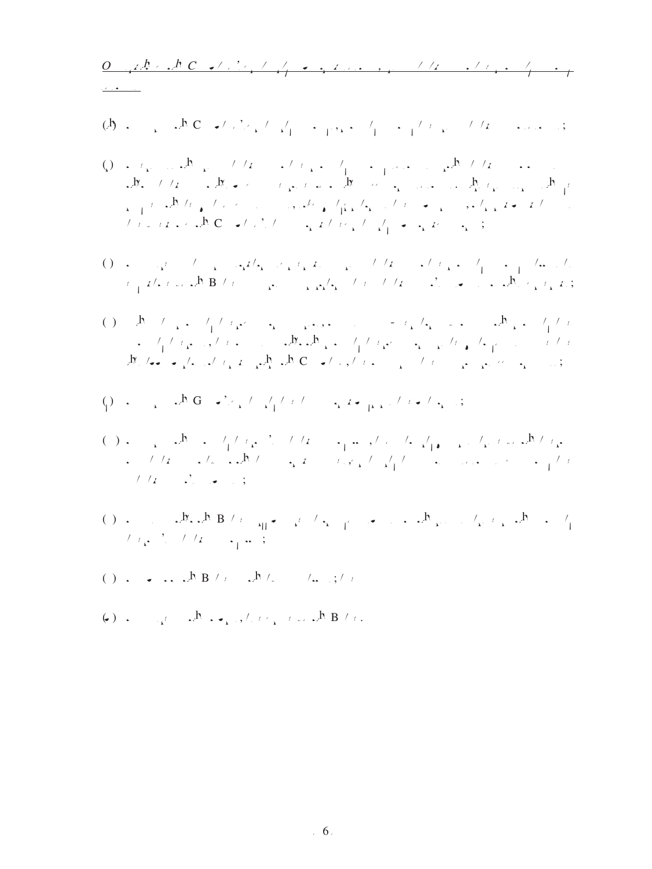$\underline{O}$  and  $\underline{A}$  reporting the control reporting system, risk management and internal control control control control control control control control control control control control control control control control co systems

$$
(b) \quad \text{and} \quad b \quad c \quad \text{and} \quad c \quad \text{and} \quad c \quad \text{and} \quad c \quad \text{and} \quad c \quad \text{and} \quad c \quad \text{and} \quad c \quad \text{and} \quad c \quad \text{and} \quad c \quad \text{and} \quad c \quad \text{and} \quad c \quad \text{and} \quad c \quad \text{and} \quad c \quad \text{and} \quad c \quad \text{and} \quad c \quad \text{and} \quad c \quad \text{and} \quad c \quad \text{and} \quad c \quad \text{and} \quad c \quad \text{and} \quad c \quad \text{and} \quad c \quad \text{and} \quad c \quad \text{and} \quad c \quad \text{and} \quad c \quad \text{and} \quad c \quad \text{and} \quad c \quad \text{and} \quad c \quad \text{and} \quad c \quad \text{and} \quad c \quad \text{and} \quad c \quad \text{and} \quad c \quad \text{and} \quad c \quad \text{and} \quad c \quad \text{and} \quad c \quad \text{and} \quad c \quad \text{and} \quad c \quad \text{and} \quad c \quad \text{and} \quad c \quad \text{and} \quad c \quad \text{and} \quad c \quad \text{and} \quad c \quad \text{and} \quad c \quad \text{and} \quad c \quad \text{and} \quad c \quad \text{and} \quad c \quad \text{and} \quad c \quad \text{and} \quad c \quad \text{and} \quad c \quad \text{and} \quad c \quad \text{and} \quad c \quad \text{and} \quad c \quad \text{and} \quad c \quad \text{and} \quad c \quad \text{and} \quad c \quad \text{and} \quad c \quad \text{and} \quad c \quad \text{and} \quad c \quad \text{and} \quad c \quad \text{and} \quad c \quad \text{and} \quad c \quad \text{and} \quad c \quad \text{and} \quad c \quad \text{and} \quad c \quad \text{and} \quad c \quad \text{and} \quad c \quad \text{and} \quad c \quad \text{and} \quad c \quad \text{and} \quad c \quad \text{and} \quad c \quad \text{and} \quad c \quad \text{and} \quad c \quad \text{and} \quad c \quad \text{and} \quad c \quad \text{and} \quad c \quad \text{and} \quad c \quad \text
$$

- (i) to discuss the risk management and internal control systems with management to ensure to ensure to ensure to ensure the management of  $\frac{1}{\sqrt{2}}$ that  $\mathcal{M}$  is due to the performed its duty to have effective systems. This discussion should be include the adequacy of resources, stations and experiences, the component programmes  $\int_{\Omega} f(x) \, dx = \int_{\Omega} f(x) \, dx$  $\begin{aligned} \mathcal{A} & \mathcal{A} & \mathcal{A} & \mathcal{A} & \mathcal{A} & \mathcal{A} & \mathcal{A} & \mathcal{A} & \mathcal{A} & \mathcal{A} & \mathcal{A} & \mathcal{A} & \mathcal{A} & \mathcal{A} & \mathcal{A} & \mathcal{A} & \mathcal{A} & \mathcal{A} & \mathcal{A} & \mathcal{A} & \mathcal{A} & \mathcal{A} & \mathcal{A} & \mathcal{A} & \mathcal{A} & \mathcal{A} & \mathcal{A} & \mathcal{A} & \mathcal{A} & \mathcal{A} & \mathcal{A$
- (j) to consider matter matter matter management and internal control management and internal control matters as  $\frac{1}{\sqrt{2}}$ delegated by the Board or on its own initiative and management  $\mathbb{R}$
- (e) where  $k$  is the audit function exists, to ensure coefficient the internal and internal and internal and internal and internal and internal and internal and internal and internal and internal and internal and internal external auditors, and to ensure the internal and the internal audit function is adequately resourced and the internal audit function is adequately resourced and the internal audit function is adequately resourced and the  $\mathcal{F}_{\mathcal{A}}$  and  $\mathcal{F}_{\mathcal{A}}$  and  $\mathcal{F}_{\mathcal{A}}$  and  $\mathcal{F}_{\mathcal{A}}$  and  $\mathcal{F}_{\mathcal{A}}$  and  $\mathcal{F}_{\mathcal{A}}$  and  $\mathcal{F}_{\mathcal{A}}$  and  $\mathcal{F}_{\mathcal{A}}$  and  $\mathcal{F}_{\mathcal{A}}$  and  $\mathcal{F}_{\mathcal{A}}$  and  $\mathcal{F}_{\mathcal{A}}$  and  $\mathcal{F}_{\mathcal{A$
- (i) to replace the Group's financial and accounting policies and policies and properties and properties and properties and properties and properties and properties and properties and properties and properties and properti
- (m) to review the external auditoris management letters  $\mathcal{N}$  and  $\mathcal{N}$  and  $\mathcal{N}$  and auditorised by the auditorised by the auditorised by the auditorised by the auditorised by the auditorised by the auditorised to  $f$  is matrices or systems of control accounts or systems or systems of control and  $f$  $\frac{1}{2}$   $\frac{1}{2}$   $\frac{1}{2}$   $\frac{1}{2}$   $\frac{1}{2}$   $\frac{1}{2}$   $\frac{1}{2}$   $\frac{1}{2}$   $\frac{1}{2}$   $\frac{1}{2}$   $\frac{1}{2}$   $\frac{1}{2}$   $\frac{1}{2}$   $\frac{1}{2}$   $\frac{1}{2}$   $\frac{1}{2}$   $\frac{1}{2}$   $\frac{1}{2}$   $\frac{1}{2}$   $\frac{1}{2}$   $\frac{1}{2}$   $\frac{1}{2}$
- (i) to ensure the Board will provide a timely response to the issues raised in the issues raised in the external values of  $\frac{1}{\sqrt{2}}$ and  $\ell_{\text{max}}$ ,  $\ell_{\text{max}}$  management letter;
- ( ) to  $\mathbf{a} \cdot \mathbf{b}$  to  $\mathbf{b}$  to the above matter single matter single matters; and the above matter single matters; and the above matter single matters; and the above matter single matter single matter single matte
- (a) to consider  $\mathbf{h}$  to consider the  $\mathbf{h}$  B as defined by the Board.